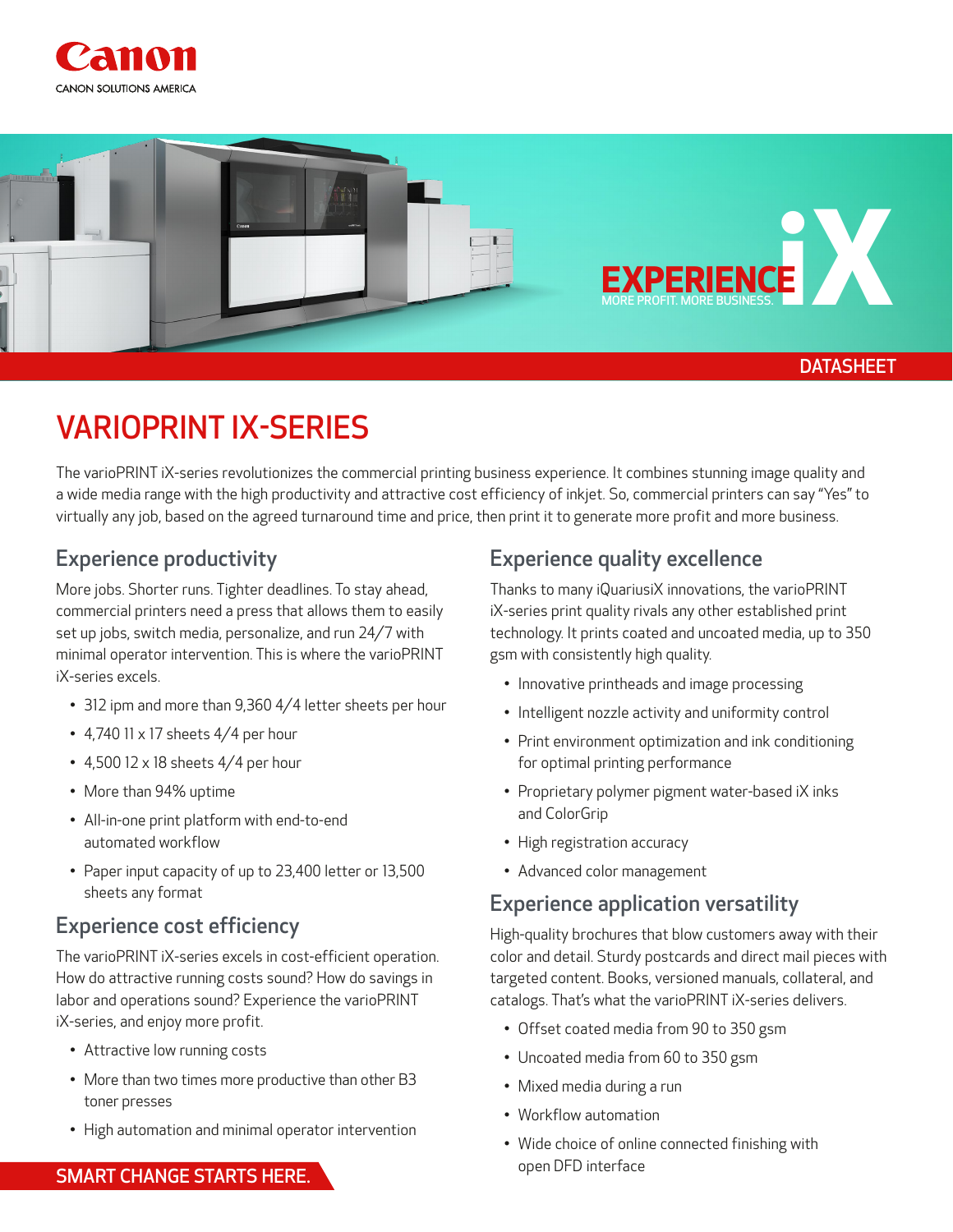



## VARIOPRINT IX-SERIES

The varioPRINT iX-series revolutionizes the commercial printing business experience. It combines stunning image quality and a wide media range with the high productivity and attractive cost efficiency of inkjet. So, commercial printers can say "Yes" to virtually any job, based on the agreed turnaround time and price, then print it to generate more profit and more business.

#### Experience productivity

More jobs. Shorter runs. Tighter deadlines. To stay ahead, commercial printers need a press that allows them to easily set up jobs, switch media, personalize, and run 24/7 with minimal operator intervention. This is where the varioPRINT iX-series excels.

- 312 ipm and more than 9,360 4/4 letter sheets per hour
- 4,740 11  $\times$  17 sheets 4/4 per hour
- 4,500 12  $\times$  18 sheets 4/4 per hour
- More than 94% uptime
- All-in-one print platform with end-to-end automated workflow
- Paper input capacity of up to 23,400 letter or 13,500 sheets any format

### Experience cost efficiency

The varioPRINT iX-series excels in cost-efficient operation. How do attractive running costs sound? How do savings in labor and operations sound? Experience the varioPRINT iX-series, and enjoy more profit.

- Attractive low running costs
- More than two times more productive than other B3 toner presses
- High automation and minimal operator intervention

#### Experience quality excellence

Thanks to many iQuariusiX innovations, the varioPRINT iX-series print quality rivals any other established print technology. It prints coated and uncoated media, up to 350 gsm with consistently high quality.

- Innovative printheads and image processing
- Intelligent nozzle activity and uniformity control
- Print environment optimization and ink conditioning for optimal printing performance
- Proprietary polymer pigment water-based iX inks and ColorGrip
- High registration accuracy
- Advanced color management

#### Experience application versatility

High-quality brochures that blow customers away with their color and detail. Sturdy postcards and direct mail pieces with targeted content. Books, versioned manuals, collateral, and catalogs. That's what the varioPRINT iX-series delivers.

- Offset coated media from 90 to 350 gsm
- Uncoated media from 60 to 350 gsm
- Mixed media during a run
- Workflow automation
- Wide choice of online connected finishing with open DFD interface